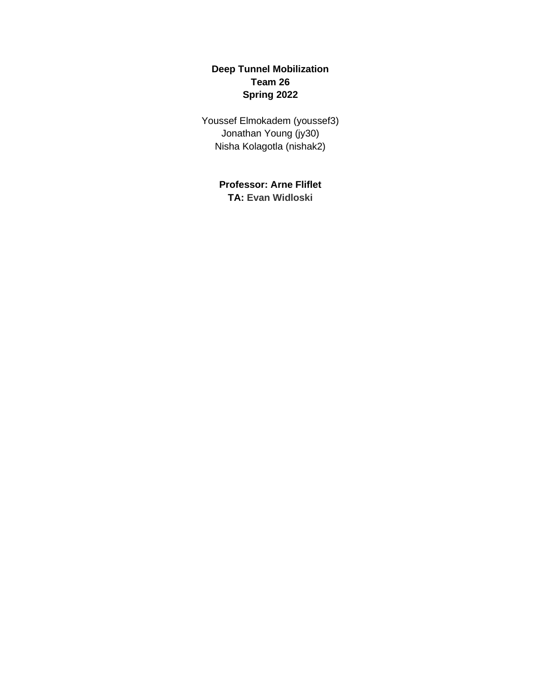# **Deep Tunnel Mobilization Team 26 Spring 2022**

Youssef Elmokadem (youssef3) Jonathan Young (jy30) Nisha Kolagotla (nishak2)

> **Professor: Arne Fliflet TA: Evan Widloski**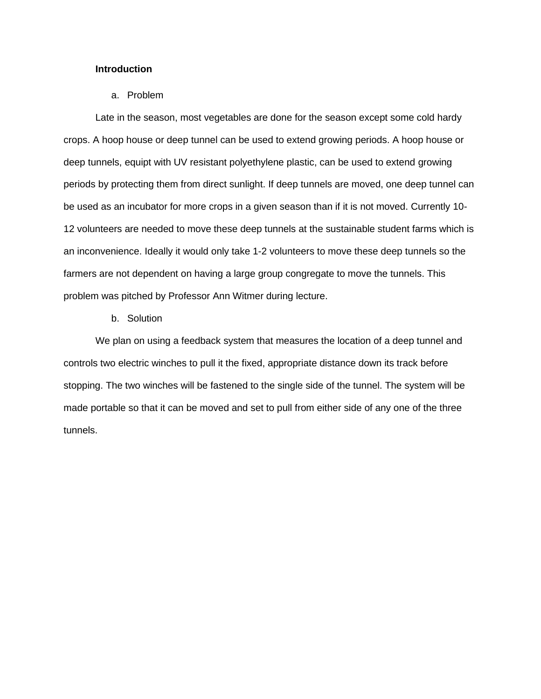#### **Introduction**

#### a. Problem

Late in the season, most vegetables are done for the season except some cold hardy crops. A hoop house or deep tunnel can be used to extend growing periods. A hoop house or deep tunnels, equipt with UV resistant polyethylene plastic, can be used to extend growing periods by protecting them from direct sunlight. If deep tunnels are moved, one deep tunnel can be used as an incubator for more crops in a given season than if it is not moved. Currently 10- 12 volunteers are needed to move these deep tunnels at the sustainable student farms which is an inconvenience. Ideally it would only take 1-2 volunteers to move these deep tunnels so the farmers are not dependent on having a large group congregate to move the tunnels. This problem was pitched by Professor Ann Witmer during lecture.

#### b. Solution

We plan on using a feedback system that measures the location of a deep tunnel and controls two electric winches to pull it the fixed, appropriate distance down its track before stopping. The two winches will be fastened to the single side of the tunnel. The system will be made portable so that it can be moved and set to pull from either side of any one of the three tunnels.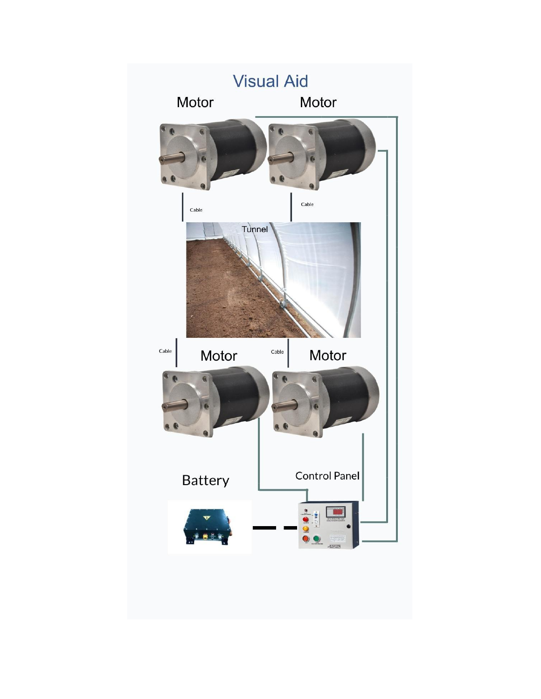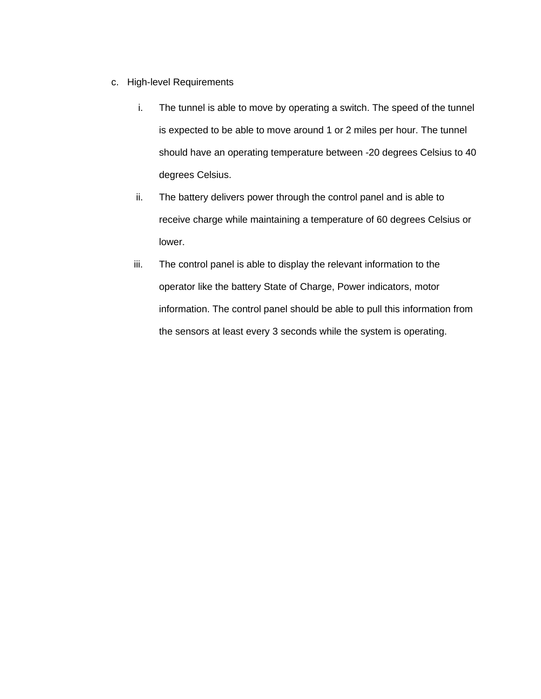- c. High-level Requirements
	- i. The tunnel is able to move by operating a switch. The speed of the tunnel is expected to be able to move around 1 or 2 miles per hour. The tunnel should have an operating temperature between -20 degrees Celsius to 40 degrees Celsius.
	- ii. The battery delivers power through the control panel and is able to receive charge while maintaining a temperature of 60 degrees Celsius or lower.
	- iii. The control panel is able to display the relevant information to the operator like the battery State of Charge, Power indicators, motor information. The control panel should be able to pull this information from the sensors at least every 3 seconds while the system is operating.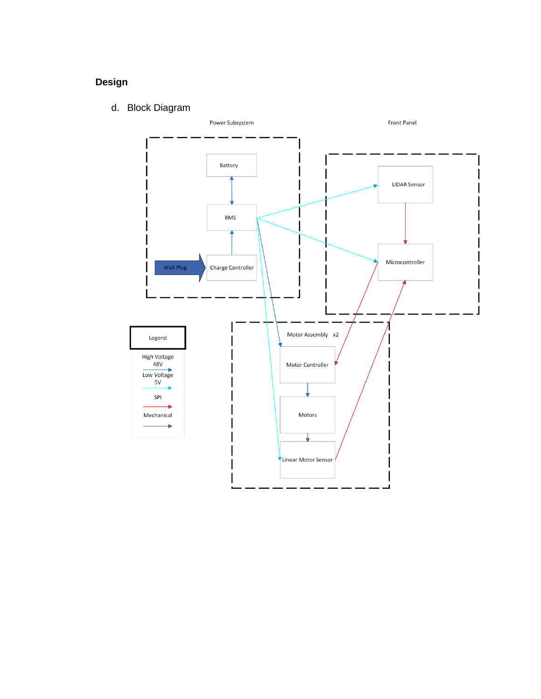# **Design**

d. Block Diagram

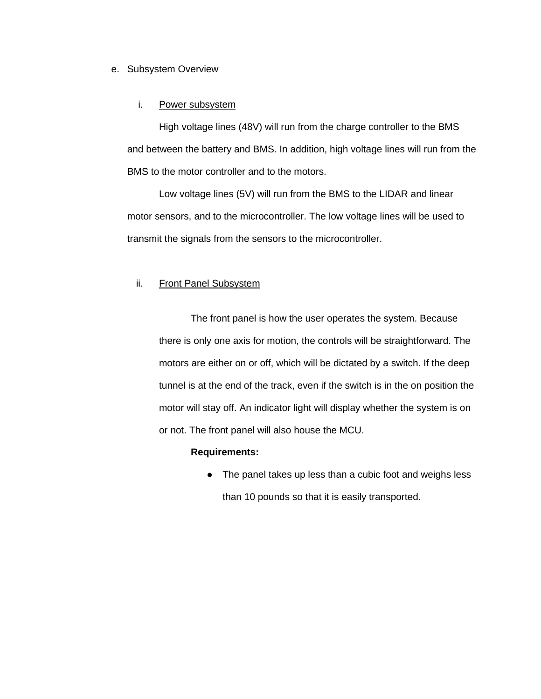### e. Subsystem Overview

### i. Power subsystem

High voltage lines (48V) will run from the charge controller to the BMS and between the battery and BMS. In addition, high voltage lines will run from the BMS to the motor controller and to the motors.

Low voltage lines (5V) will run from the BMS to the LIDAR and linear motor sensors, and to the microcontroller. The low voltage lines will be used to transmit the signals from the sensors to the microcontroller.

### ii. Front Panel Subsystem

The front panel is how the user operates the system. Because there is only one axis for motion, the controls will be straightforward. The motors are either on or off, which will be dictated by a switch. If the deep tunnel is at the end of the track, even if the switch is in the on position the motor will stay off. An indicator light will display whether the system is on or not. The front panel will also house the MCU.

#### **Requirements:**

• The panel takes up less than a cubic foot and weighs less than 10 pounds so that it is easily transported.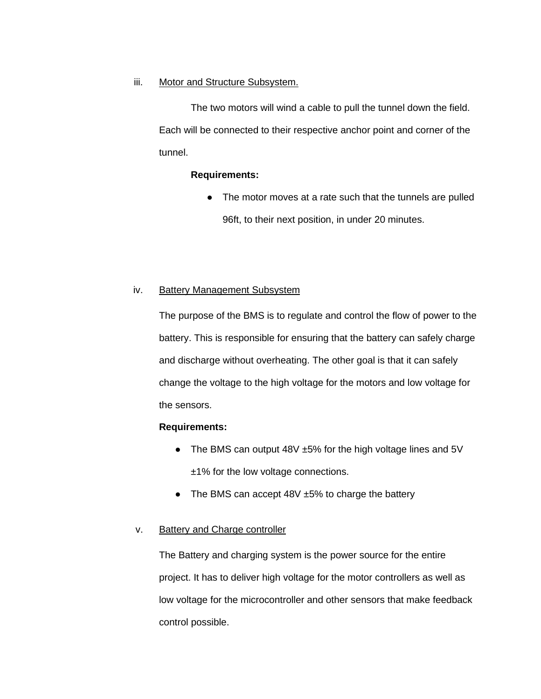### iii. Motor and Structure Subsystem.

The two motors will wind a cable to pull the tunnel down the field. Each will be connected to their respective anchor point and corner of the tunnel.

### **Requirements:**

● The motor moves at a rate such that the tunnels are pulled 96ft, to their next position, in under 20 minutes.

### iv. Battery Management Subsystem

The purpose of the BMS is to regulate and control the flow of power to the battery. This is responsible for ensuring that the battery can safely charge and discharge without overheating. The other goal is that it can safely change the voltage to the high voltage for the motors and low voltage for the sensors.

### **Requirements:**

- The BMS can output 48V ±5% for the high voltage lines and 5V ±1% for the low voltage connections.
- The BMS can accept  $48V \pm 5%$  to charge the battery

### v. Battery and Charge controller

The Battery and charging system is the power source for the entire project. It has to deliver high voltage for the motor controllers as well as low voltage for the microcontroller and other sensors that make feedback control possible.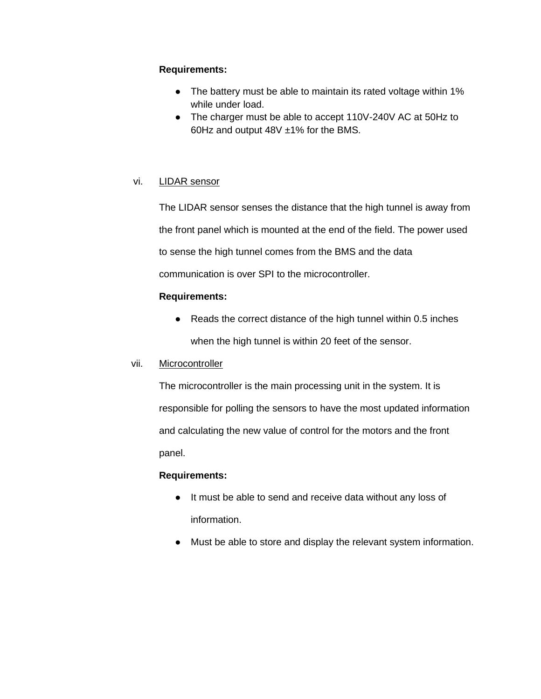### **Requirements:**

- The battery must be able to maintain its rated voltage within 1% while under load.
- The charger must be able to accept 110V-240V AC at 50Hz to 60Hz and output 48V ±1% for the BMS.

# vi. LIDAR sensor

The LIDAR sensor senses the distance that the high tunnel is away from the front panel which is mounted at the end of the field. The power used to sense the high tunnel comes from the BMS and the data communication is over SPI to the microcontroller.

# **Requirements:**

● Reads the correct distance of the high tunnel within 0.5 inches when the high tunnel is within 20 feet of the sensor.

### vii. Microcontroller

The microcontroller is the main processing unit in the system. It is responsible for polling the sensors to have the most updated information and calculating the new value of control for the motors and the front panel.

# **Requirements:**

- It must be able to send and receive data without any loss of information.
- Must be able to store and display the relevant system information.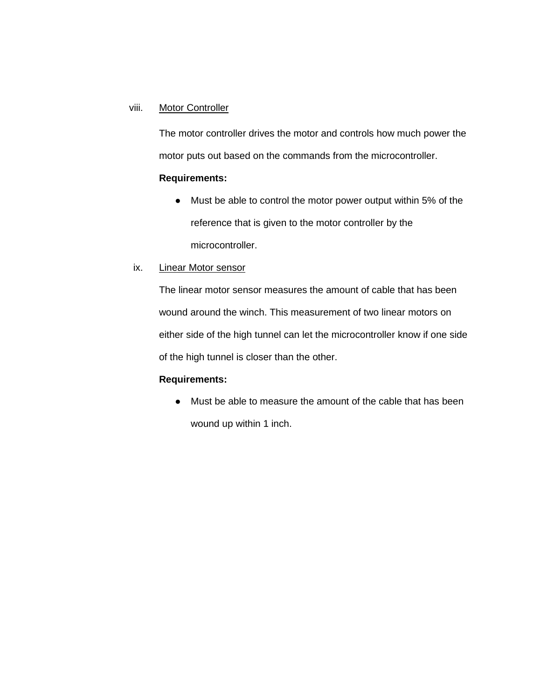### viii. Motor Controller

The motor controller drives the motor and controls how much power the motor puts out based on the commands from the microcontroller.

# **Requirements:**

- Must be able to control the motor power output within 5% of the reference that is given to the motor controller by the microcontroller.
- ix. Linear Motor sensor

The linear motor sensor measures the amount of cable that has been wound around the winch. This measurement of two linear motors on either side of the high tunnel can let the microcontroller know if one side of the high tunnel is closer than the other.

## **Requirements:**

● Must be able to measure the amount of the cable that has been wound up within 1 inch.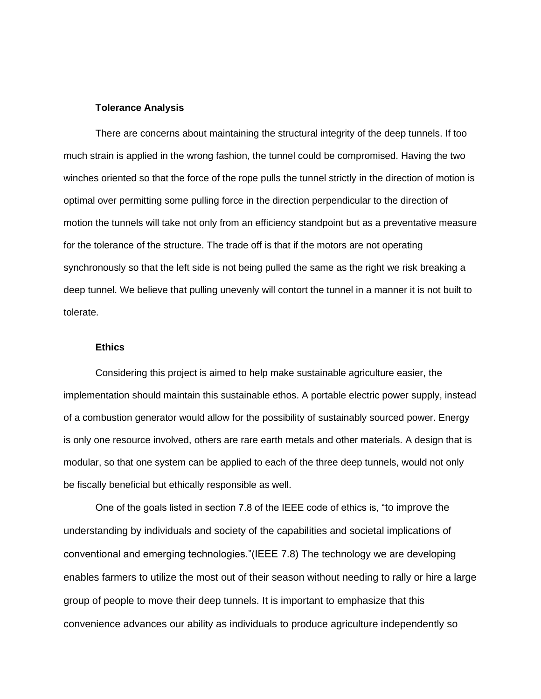#### **Tolerance Analysis**

There are concerns about maintaining the structural integrity of the deep tunnels. If too much strain is applied in the wrong fashion, the tunnel could be compromised. Having the two winches oriented so that the force of the rope pulls the tunnel strictly in the direction of motion is optimal over permitting some pulling force in the direction perpendicular to the direction of motion the tunnels will take not only from an efficiency standpoint but as a preventative measure for the tolerance of the structure. The trade off is that if the motors are not operating synchronously so that the left side is not being pulled the same as the right we risk breaking a deep tunnel. We believe that pulling unevenly will contort the tunnel in a manner it is not built to tolerate.

#### **Ethics**

Considering this project is aimed to help make sustainable agriculture easier, the implementation should maintain this sustainable ethos. A portable electric power supply, instead of a combustion generator would allow for the possibility of sustainably sourced power. Energy is only one resource involved, others are rare earth metals and other materials. A design that is modular, so that one system can be applied to each of the three deep tunnels, would not only be fiscally beneficial but ethically responsible as well.

One of the goals listed in section 7.8 of the IEEE code of ethics is, "to improve the understanding by individuals and society of the capabilities and societal implications of conventional and emerging technologies."(IEEE 7.8) The technology we are developing enables farmers to utilize the most out of their season without needing to rally or hire a large group of people to move their deep tunnels. It is important to emphasize that this convenience advances our ability as individuals to produce agriculture independently so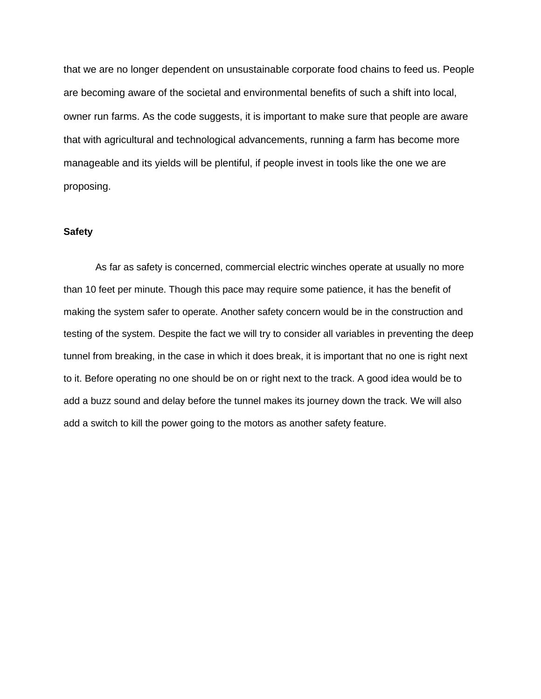that we are no longer dependent on unsustainable corporate food chains to feed us. People are becoming aware of the societal and environmental benefits of such a shift into local, owner run farms. As the code suggests, it is important to make sure that people are aware that with agricultural and technological advancements, running a farm has become more manageable and its yields will be plentiful, if people invest in tools like the one we are proposing.

### **Safety**

As far as safety is concerned, commercial electric winches operate at usually no more than 10 feet per minute. Though this pace may require some patience, it has the benefit of making the system safer to operate. Another safety concern would be in the construction and testing of the system. Despite the fact we will try to consider all variables in preventing the deep tunnel from breaking, in the case in which it does break, it is important that no one is right next to it. Before operating no one should be on or right next to the track. A good idea would be to add a buzz sound and delay before the tunnel makes its journey down the track. We will also add a switch to kill the power going to the motors as another safety feature.